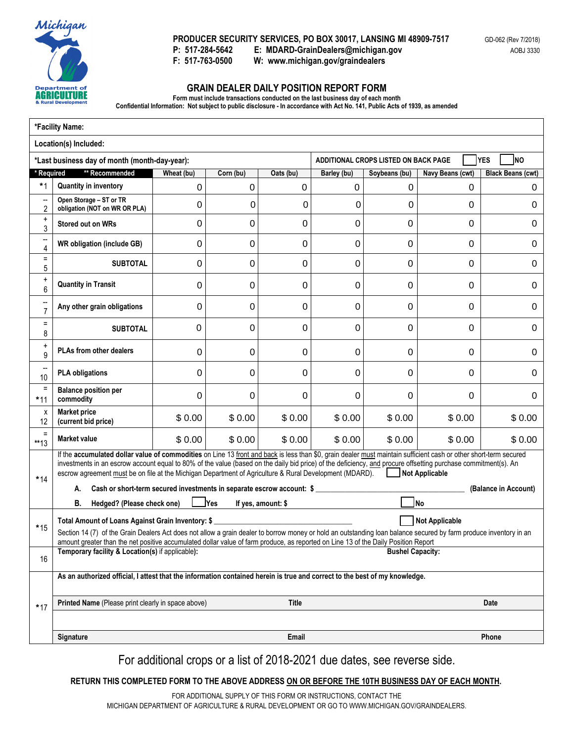

 **PRODUCER SECURITY SERVICES, PO BOX 30017, LANSING MI 48909-7517**  P: 517-284-5642 **P: 517-284-5642 E: MDARD-GrainDealers@michigan.gov** 

**F: 517-763-0500 W: www.michigan.gov/graindealers** 

## **GRAIN DEALER DAILY POSITION REPORT FORM**

**Form must include transactions conducted on the last business day of each month** 

F: 517-763-0500

 **Confidential Information: Not subject to public disclosure - In accordance with Act No. 141, Public Acts of 1939, as amended** 

|                                            | *Facility Name:                                                                                                                                                                                                                                                                                                                                                                                                                                               |             |              |                                             |             |                         |                       |                          |  |
|--------------------------------------------|---------------------------------------------------------------------------------------------------------------------------------------------------------------------------------------------------------------------------------------------------------------------------------------------------------------------------------------------------------------------------------------------------------------------------------------------------------------|-------------|--------------|---------------------------------------------|-------------|-------------------------|-----------------------|--------------------------|--|
|                                            | Location(s) Included:                                                                                                                                                                                                                                                                                                                                                                                                                                         |             |              |                                             |             |                         |                       |                          |  |
|                                            | *Last business day of month (month-day-year):                                                                                                                                                                                                                                                                                                                                                                                                                 |             |              | YES<br>ADDITIONAL CROPS LISTED ON BACK PAGE |             |                         |                       |                          |  |
| Required                                   | ** Recommended                                                                                                                                                                                                                                                                                                                                                                                                                                                | Wheat (bu)  | Corn (bu)    | Oats (bu)                                   | Barley (bu) | Soybeans (bu)           | Navy Beans (cwt)      | <b>Black Beans (cwt)</b> |  |
| $*1$                                       | <b>Quantity in inventory</b>                                                                                                                                                                                                                                                                                                                                                                                                                                  | 0           | 0            | 0                                           | 0           | 0                       | 0                     | 0                        |  |
| $\overline{\phantom{a}}$<br>$\overline{2}$ | Open Storage - ST or TR<br>obligation (NOT on WR OR PLA)                                                                                                                                                                                                                                                                                                                                                                                                      | 0           | 0            | 0                                           | 0           | 0                       | 0                     | 0                        |  |
| $\ddot{}$<br>3                             | Stored out on WRs                                                                                                                                                                                                                                                                                                                                                                                                                                             | 0           | 0            | 0                                           | 0           | $\Omega$                | 0                     | 0                        |  |
| --<br>4                                    | <b>WR obligation (include GB)</b>                                                                                                                                                                                                                                                                                                                                                                                                                             | 0           | 0            | 0                                           | 0           | 0                       | 0                     | 0                        |  |
| $\equiv$<br>5                              | <b>SUBTOTAL</b>                                                                                                                                                                                                                                                                                                                                                                                                                                               | 0           | 0            | 0                                           | 0           | 0                       | 0                     | 0                        |  |
| $\ddot{}$<br>6                             | <b>Quantity in Transit</b>                                                                                                                                                                                                                                                                                                                                                                                                                                    | $\mathbf 0$ | 0            | 0                                           | 0           | 0                       | 0                     | 0                        |  |
| $\qquad \qquad -$<br>$\overline{7}$        | Any other grain obligations                                                                                                                                                                                                                                                                                                                                                                                                                                   | 0           | 0            | 0                                           | 0           | 0                       | 0                     | 0                        |  |
| $\equiv$<br>8                              | <b>SUBTOTAL</b>                                                                                                                                                                                                                                                                                                                                                                                                                                               | $\Omega$    | 0            | 0                                           | 0           | 0                       | 0                     | 0                        |  |
| $\ddot{}$<br>9                             | <b>PLAs from other dealers</b>                                                                                                                                                                                                                                                                                                                                                                                                                                | 0           | 0            | 0                                           | 0           | 0                       | 0                     | 0                        |  |
| $\overline{\phantom{a}}$<br>10             | <b>PLA obligations</b>                                                                                                                                                                                                                                                                                                                                                                                                                                        | 0           | 0            | 0                                           | 0           | 0                       | 0                     | 0                        |  |
| $\equiv$<br>$*11$                          | <b>Balance position per</b><br>commodity                                                                                                                                                                                                                                                                                                                                                                                                                      | 0           | 0            | 0                                           | 0           | 0                       | 0                     | 0                        |  |
| х<br>12                                    | <b>Market price</b><br>(current bid price)                                                                                                                                                                                                                                                                                                                                                                                                                    | \$0.00      | \$0.00       | \$0.00                                      | \$0.00      | \$0.00                  | \$0.00                | \$0.00                   |  |
| $\equiv$<br>**13                           | <b>Market value</b>                                                                                                                                                                                                                                                                                                                                                                                                                                           | \$0.00      | \$0.00       | \$0.00                                      | \$0.00      | \$0.00                  | \$0.00                | \$0.00                   |  |
| $*14$                                      | If the accumulated dollar value of commodities on Line 13 front and back is less than \$0, grain dealer must maintain sufficient cash or other short-term secured<br>investments in an escrow account equal to 80% of the value (based on the daily bid price) of the deficiency, and procure offsetting purchase commitment(s). An<br>escrow agreement must be on file at the Michigan Department of Agriculture & Rural Development (MDARD). Not Applicable |             |              |                                             |             |                         |                       |                          |  |
|                                            | Cash or short-term secured investments in separate escrow account: \$<br>А.                                                                                                                                                                                                                                                                                                                                                                                   |             |              |                                             |             |                         |                       | (Balance in Account)     |  |
|                                            | В.<br>Hedged? (Please check one)                                                                                                                                                                                                                                                                                                                                                                                                                              |             | <u>l</u> Yes | If yes, amount: \$                          |             |                         | lNo                   |                          |  |
| $*15$                                      | Total Amount of Loans Against Grain Inventory: \$<br>Section 14 (7) of the Grain Dealers Act does not allow a grain dealer to borrow money or hold an outstanding loan balance secured by farm produce inventory in an<br>amount greater than the net positive accumulated dollar value of farm produce, as reported on Line 13 of the Daily Position Report                                                                                                  |             |              |                                             |             |                         | <b>Not Applicable</b> |                          |  |
| 16                                         | Temporary facility & Location(s) if applicable):                                                                                                                                                                                                                                                                                                                                                                                                              |             |              |                                             |             | <b>Bushel Capacity:</b> |                       |                          |  |
|                                            | As an authorized official, I attest that the information contained herein is true and correct to the best of my knowledge.                                                                                                                                                                                                                                                                                                                                    |             |              |                                             |             |                         |                       |                          |  |
| $*17$                                      | Printed Name (Please print clearly in space above)                                                                                                                                                                                                                                                                                                                                                                                                            |             |              | Title                                       |             |                         |                       | Date                     |  |
|                                            |                                                                                                                                                                                                                                                                                                                                                                                                                                                               |             |              |                                             |             |                         |                       |                          |  |
|                                            | Signature                                                                                                                                                                                                                                                                                                                                                                                                                                                     |             |              | Email                                       |             |                         |                       | Phone                    |  |

For additional crops or a list of 2018-2021 due dates, see reverse side.

**RETURN THIS COMPLETED FORM TO THE ABOVE ADDRESS ON OR BEFORE THE 10TH BUSINESS DAY OF EACH MONTH.** 

FOR ADDITIONAL SUPPLY OF THIS FORM OR INSTRUCTIONS, CONTACT THE MICHIGAN DEPARTMENT OF AGRICULTURE & RURAL DEVELOPMENT OR GO TO [WWW.MICHIGAN.GOV/GRAINDEALERS.](WWW.MICHIGAN.GOV/GRAINDEALERS)